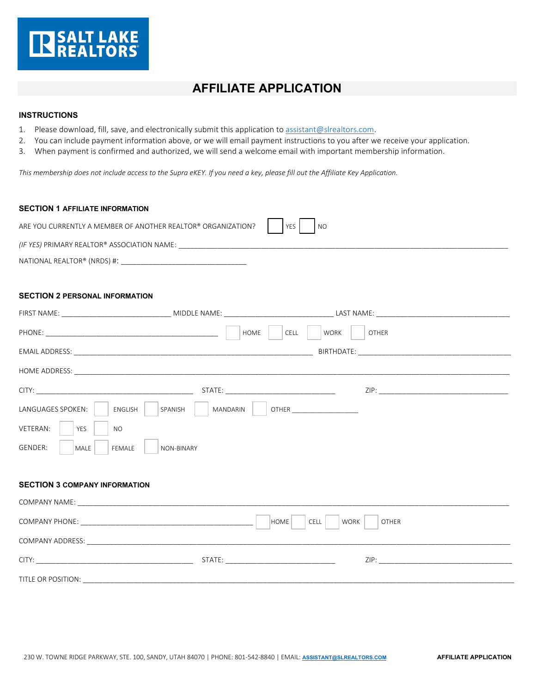

## **AFFILIATE APPLICATION**

## **INSTRUCTIONS**

- 1. Please download, fill, save, and electronically submit this application t[o assistant@slrealtors.com.](mailto:assistant@slrealtors.com)
- 2. You can include payment information above, or we will email payment instructions to you after we receive your application.
- 3. When payment is confirmed and authorized, we will send a welcome email with important membership information.

*This membership does not include access to the Supra eKEY. If you need a key, please fill out the Affiliate Key Application.*

| <b>SECTION 1 AFFILIATE INFORMATION</b>                                           |                            |                                            |
|----------------------------------------------------------------------------------|----------------------------|--------------------------------------------|
| ARE YOU CURRENTLY A MEMBER OF ANOTHER REALTOR® ORGANIZATION?<br>YES<br><b>NO</b> |                            |                                            |
|                                                                                  |                            |                                            |
|                                                                                  |                            |                                            |
|                                                                                  |                            |                                            |
| <b>SECTION 2 PERSONAL INFORMATION</b>                                            |                            |                                            |
|                                                                                  |                            |                                            |
| HOME<br>WORK<br>CELL<br><b>OTHER</b>                                             |                            |                                            |
|                                                                                  |                            |                                            |
|                                                                                  |                            |                                            |
|                                                                                  |                            |                                            |
| LANGUAGES SPOKEN:<br>ENGLISH                                                     | SPANISH<br><b>MANDARIN</b> |                                            |
| VETERAN:<br><b>YES</b><br><b>NO</b>                                              |                            |                                            |
| GENDER:<br>MALE<br>FEMALE                                                        | <b>NON-BINARY</b>          |                                            |
|                                                                                  |                            |                                            |
| <b>SECTION 3 COMPANY INFORMATION</b>                                             |                            |                                            |
|                                                                                  |                            |                                            |
|                                                                                  | <b>HOME</b>                | <b>CELL</b><br><b>WORK</b><br><b>OTHER</b> |
|                                                                                  |                            |                                            |
|                                                                                  |                            |                                            |
| TITLE OR POSITION: TITLE OR POSITION:                                            |                            |                                            |